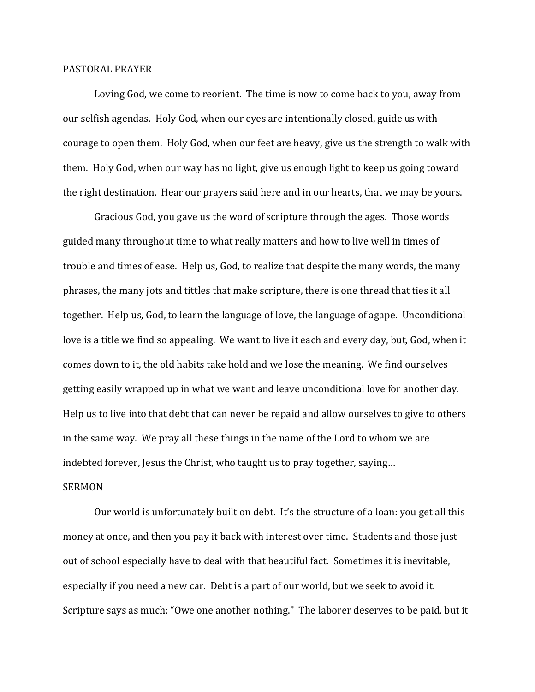## PASTORAL PRAYER

 Loving God, we come to reorient. The time is now to come back to you, away from our selfish agendas. Holy God, when our eyes are intentionally closed, guide us with courage to open them. Holy God, when our feet are heavy, give us the strength to walk with them. Holy God, when our way has no light, give us enough light to keep us going toward the right destination. Hear our prayers said here and in our hearts, that we may be yours.

 Gracious God, you gave us the word of scripture through the ages. Those words guided many throughout time to what really matters and how to live well in times of trouble and times of ease. Help us, God, to realize that despite the many words, the many phrases, the many jots and tittles that make scripture, there is one thread that ties it all together. Help us, God, to learn the language of love, the language of agape. Unconditional love is a title we find so appealing. We want to live it each and every day, but, God, when it comes down to it, the old habits take hold and we lose the meaning. We find ourselves getting easily wrapped up in what we want and leave unconditional love for another day. Help us to live into that debt that can never be repaid and allow ourselves to give to others in the same way. We pray all these things in the name of the Lord to whom we are indebted forever, Jesus the Christ, who taught us to pray together, saying…

## **SERMON**

 Our world is unfortunately built on debt. It's the structure of a loan: you get all this money at once, and then you pay it back with interest over time. Students and those just out of school especially have to deal with that beautiful fact. Sometimes it is inevitable, especially if you need a new car. Debt is a part of our world, but we seek to avoid it. Scripture says as much: "Owe one another nothing." The laborer deserves to be paid, but it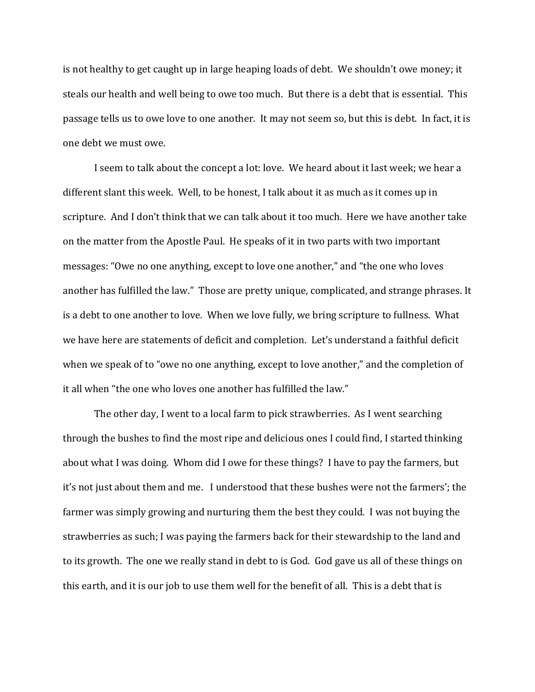is not healthy to get caught up in large heaping loads of debt. We shouldn't owe money; it steals our health and well being to owe too much. But there is a debt that is essential. This passage tells us to owe love to one another. It may not seem so, but this is debt. In fact, it is one debt we must owe.

 I seem to talk about the concept a lot: love. We heard about it last week; we hear a different slant this week. Well, to be honest, I talk about it as much as it comes up in scripture. And I don't think that we can talk about it too much. Here we have another take on the matter from the Apostle Paul. He speaks of it in two parts with two important messages: "Owe no one anything, except to love one another," and "the one who loves another has fulfilled the law." Those are pretty unique, complicated, and strange phrases. It is a debt to one another to love. When we love fully, we bring scripture to fullness. What we have here are statements of deficit and completion. Let's understand a faithful deficit when we speak of to "owe no one anything, except to love another," and the completion of it all when "the one who loves one another has fulfilled the law."

The other day, I went to a local farm to pick strawberries. As I went searching through the bushes to find the most ripe and delicious ones I could find, I started thinking about what I was doing. Whom did I owe for these things? I have to pay the farmers, but it's not just about them and me. I understood that these bushes were not the farmers'; the farmer was simply growing and nurturing them the best they could. I was not buying the strawberries as such; I was paying the farmers back for their stewardship to the land and to its growth. The one we really stand in debt to is God. God gave us all of these things on this earth, and it is our job to use them well for the benefit of all. This is a debt that is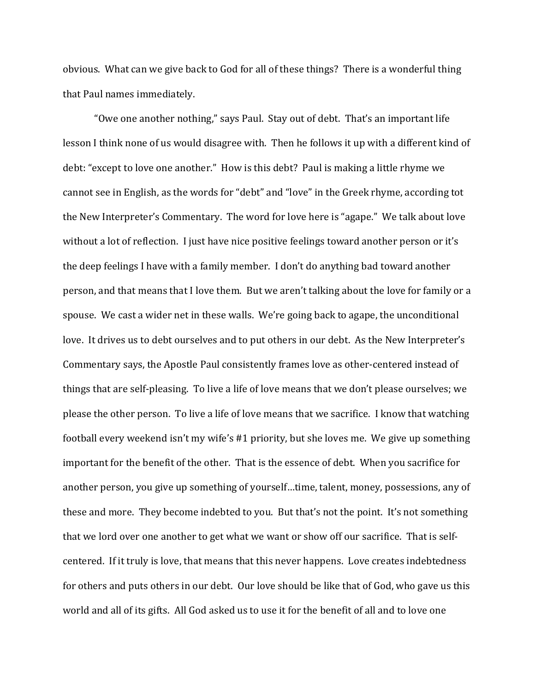obvious. What can we give back to God for all of these things? There is a wonderful thing that Paul names immediately.

"Owe one another nothing," says Paul. Stay out of debt. That's an important life lesson I think none of us would disagree with. Then he follows it up with a different kind of debt: "except to love one another." How is this debt? Paul is making a little rhyme we cannot see in English, as the words for "debt" and "love" in the Greek rhyme, according tot the New Interpreter's Commentary. The word for love here is "agape." We talk about love without a lot of reflection. I just have nice positive feelings toward another person or it's the deep feelings I have with a family member. I don't do anything bad toward another person, and that means that I love them. But we aren't talking about the love for family or a spouse. We cast a wider net in these walls. We're going back to agape, the unconditional love. It drives us to debt ourselves and to put others in our debt. As the New Interpreter's Commentary says, the Apostle Paul consistently frames love as other-centered instead of things that are self-pleasing. To live a life of love means that we don't please ourselves; we please the other person. To live a life of love means that we sacrifice. I know that watching football every weekend isn't my wife's #1 priority, but she loves me. We give up something important for the benefit of the other. That is the essence of debt. When you sacrifice for another person, you give up something of yourself…time, talent, money, possessions, any of these and more. They become indebted to you. But that's not the point. It's not something that we lord over one another to get what we want or show off our sacrifice. That is selfcentered. If it truly is love, that means that this never happens. Love creates indebtedness for others and puts others in our debt. Our love should be like that of God, who gave us this world and all of its gifts. All God asked us to use it for the benefit of all and to love one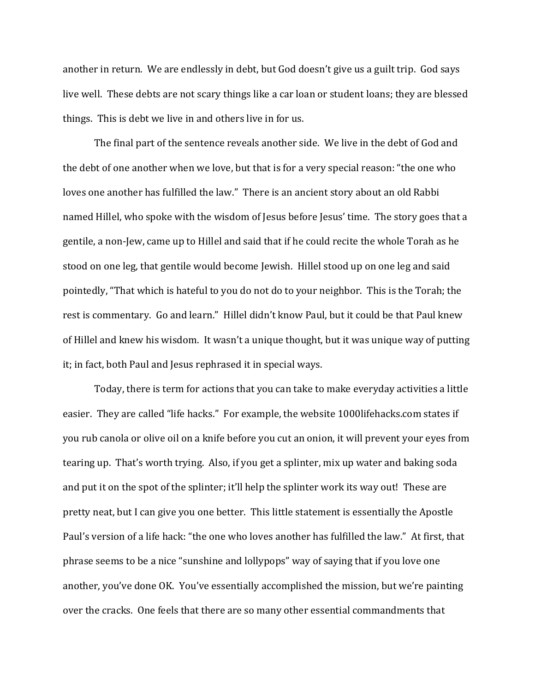another in return. We are endlessly in debt, but God doesn't give us a guilt trip. God says live well. These debts are not scary things like a car loan or student loans; they are blessed things. This is debt we live in and others live in for us.

The final part of the sentence reveals another side. We live in the debt of God and the debt of one another when we love, but that is for a very special reason: "the one who loves one another has fulfilled the law." There is an ancient story about an old Rabbi named Hillel, who spoke with the wisdom of Jesus before Jesus' time. The story goes that a gentile, a non-Jew, came up to Hillel and said that if he could recite the whole Torah as he stood on one leg, that gentile would become Jewish. Hillel stood up on one leg and said pointedly, "That which is hateful to you do not do to your neighbor. This is the Torah; the rest is commentary. Go and learn." Hillel didn't know Paul, but it could be that Paul knew of Hillel and knew his wisdom. It wasn't a unique thought, but it was unique way of putting it; in fact, both Paul and Jesus rephrased it in special ways.

Today, there is term for actions that you can take to make everyday activities a little easier. They are called "life hacks." For example, the website 1000lifehacks.com states if you rub canola or olive oil on a knife before you cut an onion, it will prevent your eyes from tearing up. That's worth trying. Also, if you get a splinter, mix up water and baking soda and put it on the spot of the splinter; it'll help the splinter work its way out! These are pretty neat, but I can give you one better. This little statement is essentially the Apostle Paul's version of a life hack: "the one who loves another has fulfilled the law." At first, that phrase seems to be a nice "sunshine and lollypops" way of saying that if you love one another, you've done OK. You've essentially accomplished the mission, but we're painting over the cracks. One feels that there are so many other essential commandments that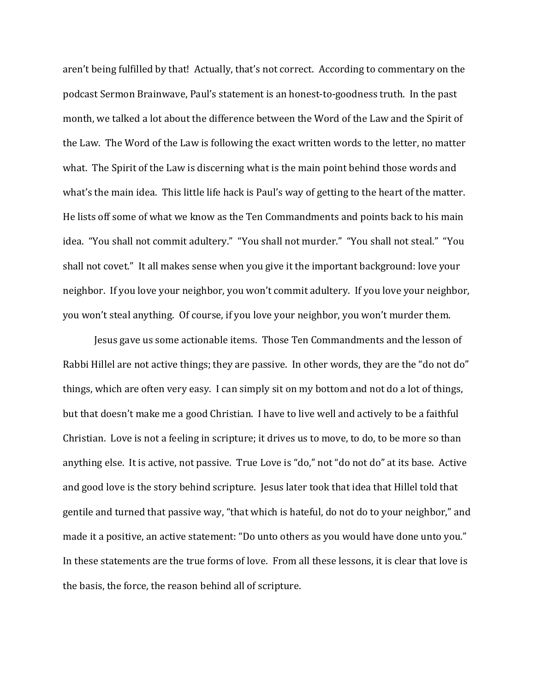aren't being fulfilled by that! Actually, that's not correct. According to commentary on the podcast Sermon Brainwave, Paul's statement is an honest-to-goodness truth. In the past month, we talked a lot about the difference between the Word of the Law and the Spirit of the Law. The Word of the Law is following the exact written words to the letter, no matter what. The Spirit of the Law is discerning what is the main point behind those words and what's the main idea. This little life hack is Paul's way of getting to the heart of the matter. He lists off some of what we know as the Ten Commandments and points back to his main idea. "You shall not commit adultery." "You shall not murder." "You shall not steal." "You shall not covet." It all makes sense when you give it the important background: love your neighbor. If you love your neighbor, you won't commit adultery. If you love your neighbor, you won't steal anything. Of course, if you love your neighbor, you won't murder them.

Jesus gave us some actionable items. Those Ten Commandments and the lesson of Rabbi Hillel are not active things; they are passive. In other words, they are the "do not do" things, which are often very easy. I can simply sit on my bottom and not do a lot of things, but that doesn't make me a good Christian. I have to live well and actively to be a faithful Christian. Love is not a feeling in scripture; it drives us to move, to do, to be more so than anything else. It is active, not passive. True Love is "do," not "do not do" at its base. Active and good love is the story behind scripture. Jesus later took that idea that Hillel told that gentile and turned that passive way, "that which is hateful, do not do to your neighbor," and made it a positive, an active statement: "Do unto others as you would have done unto you." In these statements are the true forms of love. From all these lessons, it is clear that love is the basis, the force, the reason behind all of scripture.